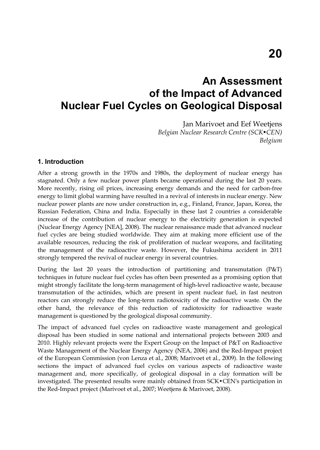# **An Assessment of the Impact of Advanced Nuclear Fuel Cycles on Geological Disposal**

Jan Marivoet and Eef Weetjens *Belgian Nuclear Research Centre (SCK•CEN) Belgium* 

### **1. Introduction**

After a strong growth in the 1970s and 1980s, the deployment of nuclear energy has stagnated. Only a few nuclear power plants became operational during the last 20 years. More recently, rising oil prices, increasing energy demands and the need for carbon-free energy to limit global warming have resulted in a revival of interests in nuclear energy. New nuclear power plants are now under construction in, e.g., Finland, France, Japan, Korea, the Russian Federation, China and India. Especially in these last 2 countries a considerable increase of the contribution of nuclear energy to the electricity generation is expected (Nuclear Energy Agency [NEA], 2008). The nuclear renaissance made that advanced nuclear fuel cycles are being studied worldwide. They aim at making more efficient use of the available resources, reducing the risk of proliferation of nuclear weapons, and facilitating the management of the radioactive waste. However, the Fukushima accident in 2011 strongly tempered the revival of nuclear energy in several countries.

During the last 20 years the introduction of partitioning and transmutation (P&T) techniques in future nuclear fuel cycles has often been presented as a promising option that might strongly facilitate the long-term management of high-level radioactive waste, because transmutation of the actinides, which are present in spent nuclear fuel, in fast neutron reactors can strongly reduce the long-term radiotoxicity of the radioactive waste. On the other hand, the relevance of this reduction of radiotoxicity for radioactive waste management is questioned by the geological disposal community.

The impact of advanced fuel cycles on radioactive waste management and geological disposal has been studied in some national and international projects between 2003 and 2010. Highly relevant projects were the Expert Group on the Impact of P&T on Radioactive Waste Management of the Nuclear Energy Agency (NEA, 2006) and the Red-Impact project of the European Commission (von Lenza et al., 2008; Marivoet et al., 2009). In the following sections the impact of advanced fuel cycles on various aspects of radioactive waste management and, more specifically, of geological disposal in a clay formation will be investigated. The presented results were mainly obtained from SCK•CEN's participation in the Red-Impact project (Marivoet et al., 2007; Weetjens & Marivoet, 2008).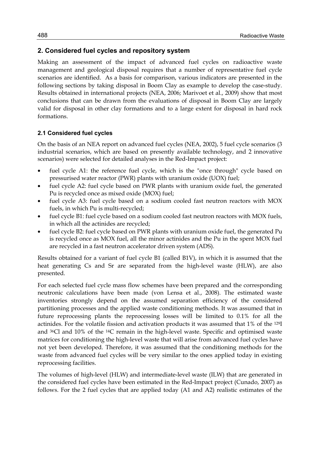# **2. Considered fuel cycles and repository system**

Making an assessment of the impact of advanced fuel cycles on radioactive waste management and geological disposal requires that a number of representative fuel cycle scenarios are identified. As a basis for comparison, various indicators are presented in the following sections by taking disposal in Boom Clay as example to develop the case-study. Results obtained in international projects (NEA, 2006; Marivoet et al., 2009) show that most conclusions that can be drawn from the evaluations of disposal in Boom Clay are largely valid for disposal in other clay formations and to a large extent for disposal in hard rock formations.

## **2.1 Considered fuel cycles**

On the basis of an NEA report on advanced fuel cycles (NEA, 2002), 5 fuel cycle scenarios (3 industrial scenarios, which are based on presently available technology, and 2 innovative scenarios) were selected for detailed analyses in the Red-Impact project:

- fuel cycle A1: the reference fuel cycle, which is the "once through" cycle based on pressurised water reactor (PWR) plants with uranium oxide (UOX) fuel;
- fuel cycle A2: fuel cycle based on PWR plants with uranium oxide fuel, the generated Pu is recycled once as mixed oxide (MOX) fuel;
- fuel cycle A3: fuel cycle based on a sodium cooled fast neutron reactors with MOX fuels, in which Pu is multi-recycled;
- fuel cycle B1: fuel cycle based on a sodium cooled fast neutron reactors with MOX fuels, in which all the actinides are recycled;
- fuel cycle B2: fuel cycle based on PWR plants with uranium oxide fuel, the generated Pu is recycled once as MOX fuel, all the minor actinides and the Pu in the spent MOX fuel are recycled in a fast neutron accelerator driven system (ADS).

Results obtained for a variant of fuel cycle B1 (called B1V), in which it is assumed that the heat generating Cs and Sr are separated from the high-level waste (HLW), are also presented.

For each selected fuel cycle mass flow schemes have been prepared and the corresponding neutronic calculations have been made (von Lensa et al., 2008). The estimated waste inventories strongly depend on the assumed separation efficiency of the considered partitioning processes and the applied waste conditioning methods. It was assumed that in future reprocessing plants the reprocessing losses will be limited to 0.1% for all the actinides. For the volatile fission and activation products it was assumed that 1% of the 129I and 36Cl and 10% of the 14C remain in the high-level waste. Specific and optimised waste matrices for conditioning the high-level waste that will arise from advanced fuel cycles have not yet been developed. Therefore, it was assumed that the conditioning methods for the waste from advanced fuel cycles will be very similar to the ones applied today in existing reprocessing facilities.

The volumes of high-level (HLW) and intermediate-level waste (ILW) that are generated in the considered fuel cycles have been estimated in the Red-Impact project (Cunado, 2007) as follows. For the 2 fuel cycles that are applied today (A1 and A2) realistic estimates of the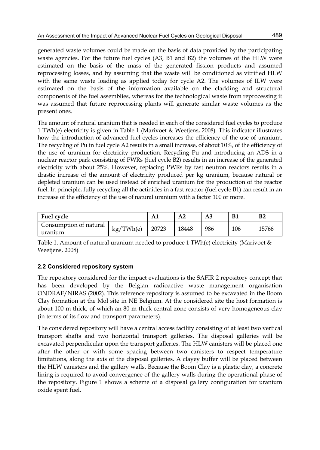generated waste volumes could be made on the basis of data provided by the participating waste agencies. For the future fuel cycles (A3, B1 and B2) the volumes of the HLW were estimated on the basis of the mass of the generated fission products and assumed reprocessing losses, and by assuming that the waste will be conditioned as vitrified HLW with the same waste loading as applied today for cycle A2. The volumes of ILW were estimated on the basis of the information available on the cladding and structural components of the fuel assemblies, whereas for the technological waste from reprocessing it was assumed that future reprocessing plants will generate similar waste volumes as the present ones.

The amount of natural uranium that is needed in each of the considered fuel cycles to produce 1 TWh(e) electricity is given in Table 1 (Marivoet & Weetjens, 2008). This indicator illustrates how the introduction of advanced fuel cycles increases the efficiency of the use of uranium. The recycling of Pu in fuel cycle A2 results in a small increase, of about 10%, of the efficiency of the use of uranium for electricity production. Recycling Pu and introducing an ADS in a nuclear reactor park consisting of PWRs (fuel cycle B2) results in an increase of the generated electricity with about 25%. However, replacing PWRs by fast neutron reactors results in a drastic increase of the amount of electricity produced per kg uranium, because natural or depleted uranium can be used instead of enriched uranium for the production of the reactor fuel. In principle, fully recycling all the actinides in a fast reactor (fuel cycle B1) can result in an increase of the efficiency of the use of natural uranium with a factor 100 or more.

| <b>Fuel cycle</b>                 |           | A1    | A2    | A3  | <b>B1</b> | B <sub>2</sub> |
|-----------------------------------|-----------|-------|-------|-----|-----------|----------------|
| Consumption of natural<br>uranıum | kg/TWh(e) | 20723 | 18448 | 986 | 106       | 15766          |

Table 1. Amount of natural uranium needed to produce  $1$  TWh(e) electricity (Marivoet  $\&$ Weetjens, 2008)

## **2.2 Considered repository system**

The repository considered for the impact evaluations is the SAFIR 2 repository concept that has been developed by the Belgian radioactive waste management organisation ONDRAF/NIRAS (2002). This reference repository is assumed to be excavated in the Boom Clay formation at the Mol site in NE Belgium. At the considered site the host formation is about 100 m thick, of which an 80 m thick central zone consists of very homogeneous clay (in terms of its flow and transport parameters).

The considered repository will have a central access facility consisting of at least two vertical transport shafts and two horizontal transport galleries. The disposal galleries will be excavated perpendicular upon the transport galleries. The HLW canisters will be placed one after the other or with some spacing between two canisters to respect temperature limitations, along the axis of the disposal galleries. A clayey buffer will be placed between the HLW canisters and the gallery walls. Because the Boom Clay is a plastic clay, a concrete lining is required to avoid convergence of the gallery walls during the operational phase of the repository. Figure 1 shows a scheme of a disposal gallery configuration for uranium oxide spent fuel.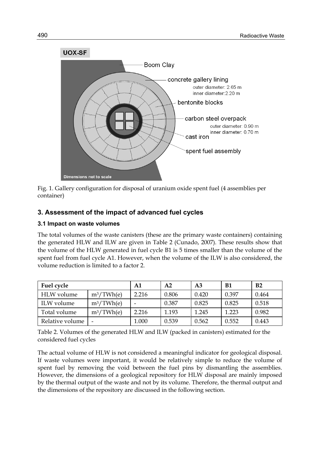

Fig. 1. Gallery configuration for disposal of uranium oxide spent fuel (4 assemblies per container)

# **3. Assessment of the impact of advanced fuel cycles**

# **3.1 Impact on waste volumes**

The total volumes of the waste canisters (these are the primary waste containers) containing the generated HLW and ILW are given in Table 2 (Cunado, 2007). These results show that the volume of the HLW generated in fuel cycle B1 is 5 times smaller than the volume of the spent fuel from fuel cycle A1. However, when the volume of the ILW is also considered, the volume reduction is limited to a factor 2.

| <b>Fuel cycle</b> |              | A1    | A2    | A <sub>3</sub> | <b>B1</b> | B <sub>2</sub> |
|-------------------|--------------|-------|-------|----------------|-----------|----------------|
| HLW volume        | $m^3/TWh(e)$ | 2.216 | 0.806 | 0.420          | 0.397     | 0.464          |
| ILW volume        | $m^3/TWh(e)$ |       | 0.387 | 0.825          | 0.825     | 0.518          |
| Total volume      | $m^3/TWh(e)$ | 2.216 | 1.193 | 1.245          | 1.223     | 0.982          |
| Relative volume   |              | 1.000 | 0.539 | 0.562          | 0.552     | 0.443          |

Table 2. Volumes of the generated HLW and ILW (packed in canisters) estimated for the considered fuel cycles

The actual volume of HLW is not considered a meaningful indicator for geological disposal. If waste volumes were important, it would be relatively simple to reduce the volume of spent fuel by removing the void between the fuel pins by dismantling the assemblies. However, the dimensions of a geological repository for HLW disposal are mainly imposed by the thermal output of the waste and not by its volume. Therefore, the thermal output and the dimensions of the repository are discussed in the following section.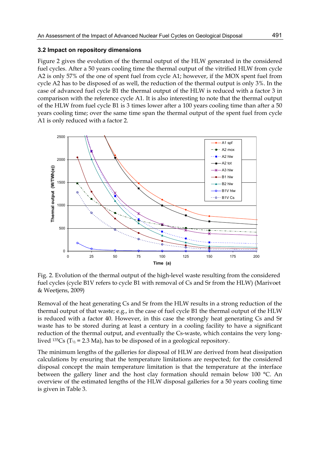#### **3.2 Impact on repository dimensions**

Figure 2 gives the evolution of the thermal output of the HLW generated in the considered fuel cycles. After a 50 years cooling time the thermal output of the vitrified HLW from cycle A2 is only 57% of the one of spent fuel from cycle A1; however, if the MOX spent fuel from cycle A2 has to be disposed of as well, the reduction of the thermal output is only 3%. In the case of advanced fuel cycle B1 the thermal output of the HLW is reduced with a factor 3 in comparison with the reference cycle A1. It is also interesting to note that the thermal output of the HLW from fuel cycle B1 is 3 times lower after a 100 years cooling time than after a 50 years cooling time; over the same time span the thermal output of the spent fuel from cycle A1 is only reduced with a factor 2.



Fig. 2. Evolution of the thermal output of the high-level waste resulting from the considered fuel cycles (cycle B1V refers to cycle B1 with removal of Cs and Sr from the HLW) (Marivoet & Weetjens, 2009)

Removal of the heat generating Cs and Sr from the HLW results in a strong reduction of the thermal output of that waste; e.g., in the case of fuel cycle B1 the thermal output of the HLW is reduced with a factor 40. However, in this case the strongly heat generating Cs and Sr waste has to be stored during at least a century in a cooling facility to have a significant reduction of the thermal output, and eventually the Cs-waste, which contains the very longlived <sup>135</sup>Cs ( $T_{\frac{1}{2}}$  = 2.3 Ma), has to be disposed of in a geological repository.

The minimum lengths of the galleries for disposal of HLW are derived from heat dissipation calculations by ensuring that the temperature limitations are respected; for the considered disposal concept the main temperature limitation is that the temperature at the interface between the gallery liner and the host clay formation should remain below 100 °C. An overview of the estimated lengths of the HLW disposal galleries for a 50 years cooling time is given in Table 3.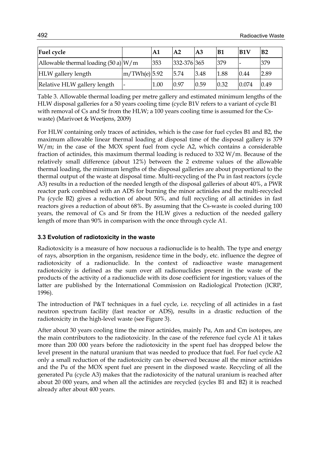| <b>Fuel cycle</b>                    |                 | A1   | A <sub>2</sub> | A <sub>3</sub> | <b>B1</b> | B1V   | B <sub>2</sub> |
|--------------------------------------|-----------------|------|----------------|----------------|-----------|-------|----------------|
| Allowable thermal loading $(50a)W/m$ |                 | 353  | 332-376 365    |                | 379       |       | 379            |
| HLW gallery length                   | $m/TWh(e)$ 5.92 |      | 5.74           | 3.48           | 1.88      | 0.44  | 2.89           |
| Relative HLW gallery length          |                 | 1.00 | 0.97           | 0.59           | 0.32      | 0.074 | 0.49           |

Table 3. Allowable thermal loading per metre gallery and estimated minimum lengths of the HLW disposal galleries for a 50 years cooling time (cycle B1V refers to a variant of cycle B1 with removal of Cs and Sr from the HLW; a 100 years cooling time is assumed for the Cswaste) (Marivoet & Weetjens, 2009)

For HLW containing only traces of actinides, which is the case for fuel cycles B1 and B2, the maximum allowable linear thermal loading at disposal time of the disposal gallery is 379 W/m; in the case of the MOX spent fuel from cycle A2, which contains a considerable fraction of actinides, this maximum thermal loading is reduced to 332 W/m. Because of the relatively small difference (about 12%) between the 2 extreme values of the allowable thermal loading, the minimum lengths of the disposal galleries are about proportional to the thermal output of the waste at disposal time. Multi-recycling of the Pu in fast reactors (cycle A3) results in a reduction of the needed length of the disposal galleries of about 40%, a PWR reactor park combined with an ADS for burning the minor actinides and the multi-recycled Pu (cycle B2) gives a reduction of about 50%, and full recycling of all actinides in fast reactors gives a reduction of about 68%. By assuming that the Cs-waste is cooled during 100 years, the removal of Cs and Sr from the HLW gives a reduction of the needed gallery length of more than 90% in comparison with the once through cycle A1.

#### **3.3 Evolution of radiotoxicity in the waste**

Radiotoxicity is a measure of how nocuous a radionuclide is to health. The type and energy of rays, absorption in the organism, residence time in the body, etc. influence the degree of radiotoxicity of a radionuclide. In the context of radioactive waste management radiotoxicity is defined as the sum over all radionuclides present in the waste of the products of the activity of a radionuclide with its dose coefficient for ingestion; values of the latter are published by the International Commission on Radiological Protection (ICRP, 1996).

The introduction of P&T techniques in a fuel cycle, i.e. recycling of all actinides in a fast neutron spectrum facility (fast reactor or ADS), results in a drastic reduction of the radiotoxicity in the high-level waste (see Figure 3).

After about 30 years cooling time the minor actinides, mainly Pu, Am and Cm isotopes, are the main contributors to the radiotoxicity. In the case of the reference fuel cycle A1 it takes more than 200 000 years before the radiotoxicity in the spent fuel has dropped below the level present in the natural uranium that was needed to produce that fuel. For fuel cycle A2 only a small reduction of the radiotoxicity can be observed because all the minor actinides and the Pu of the MOX spent fuel are present in the disposed waste. Recycling of all the generated Pu (cycle A3) makes that the radiotoxicity of the natural uranium is reached after about 20 000 years, and when all the actinides are recycled (cycles B1 and B2) it is reached already after about 400 years.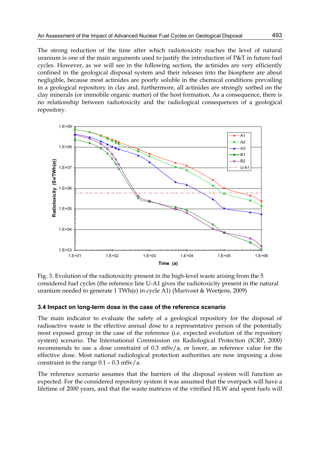The strong reduction of the time after which radiotoxicity reaches the level of natural uranium is one of the main arguments used to justify the introduction of P&T in future fuel cycles. However, as we will see in the following section, the actinides are very efficiently confined in the geological disposal system and their releases into the biosphere are about negligible, because most actinides are poorly soluble in the chemical conditions prevailing in a geological repository in clay and, furthermore, all actinides are strongly sorbed on the clay minerals (or immobile organic matter) of the host formation. As a consequence, there is no relationship between radiotoxicity and the radiological consequences of a geological repository.



Fig. 3. Evolution of the radiotoxicity present in the high-level waste arising from the 5 considered fuel cycles (the reference line U-A1 gives the radiotoxicity present in the natural uranium needed to generate 1 TWh(e) in cycle A1) (Marivoet & Weetjens, 2009)

#### **3.4 Impact on long-term dose in the case of the reference scenario**

The main indicator to evaluate the safety of a geological repository for the disposal of radioactive waste is the effective annual dose to a representative person of the potentially most exposed group in the case of the reference (i.e. expected evolution of the repository system) scenario. The International Commission on Radiological Protection (ICRP, 2000) recommends to use a dose constraint of 0.3 mSv/a, or lower, as reference value for the effective dose. Most national radiological protection authorities are now imposing a dose constraint in the range  $0.1 - 0.3$  mSv/a.

The reference scenario assumes that the barriers of the disposal system will function as expected. For the considered repository system it was assumed that the overpack will have a lifetime of 2000 years, and that the waste matrices of the vitrified HLW and spent fuels will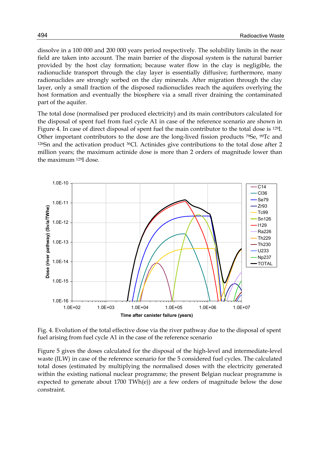dissolve in a 100 000 and 200 000 years period respectively. The solubility limits in the near field are taken into account. The main barrier of the disposal system is the natural barrier provided by the host clay formation; because water flow in the clay is negligible, the radionuclide transport through the clay layer is essentially diffusive; furthermore, many radionuclides are strongly sorbed on the clay minerals. After migration through the clay layer, only a small fraction of the disposed radionuclides reach the aquifers overlying the host formation and eventually the biosphere via a small river draining the contaminated part of the aquifer.

The total dose (normalised per produced electricity) and its main contributors calculated for the disposal of spent fuel from fuel cycle A1 in case of the reference scenario are shown in Figure 4. In case of direct disposal of spent fuel the main contributor to the total dose is 129I. Other important contributors to the dose are the long-lived fission products 79Se, 99Tc and 126Sn and the activation product 36Cl. Actinides give contributions to the total dose after 2 million years; the maximum actinide dose is more than 2 orders of magnitude lower than the maximum 129I dose.



Fig. 4. Evolution of the total effective dose via the river pathway due to the disposal of spent fuel arising from fuel cycle A1 in the case of the reference scenario

Figure 5 gives the doses calculated for the disposal of the high-level and intermediate-level waste (ILW) in case of the reference scenario for the 5 considered fuel cycles. The calculated total doses (estimated by multiplying the normalised doses with the electricity generated within the existing national nuclear programme; the present Belgian nuclear programme is expected to generate about  $1700$  TWh(e)) are a few orders of magnitude below the dose constraint.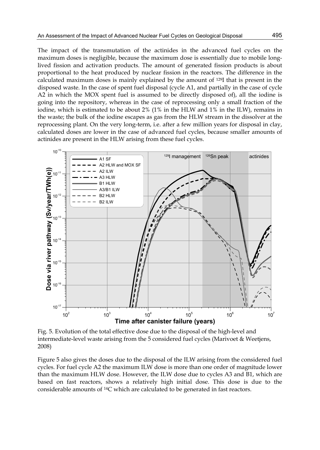The impact of the transmutation of the actinides in the advanced fuel cycles on the maximum doses is negligible, because the maximum dose is essentially due to mobile longlived fission and activation products. The amount of generated fission products is about proportional to the heat produced by nuclear fission in the reactors. The difference in the calculated maximum doses is mainly explained by the amount of 129I that is present in the disposed waste. In the case of spent fuel disposal (cycle A1, and partially in the case of cycle A2 in which the MOX spent fuel is assumed to be directly disposed of), all the iodine is going into the repository, whereas in the case of reprocessing only a small fraction of the iodine, which is estimated to be about 2% (1% in the HLW and 1% in the ILW), remains in the waste; the bulk of the iodine escapes as gas from the HLW stream in the dissolver at the reprocessing plant. On the very long-term, i.e. after a few million years for disposal in clay, calculated doses are lower in the case of advanced fuel cycles, because smaller amounts of actinides are present in the HLW arising from these fuel cycles.



Fig. 5. Evolution of the total effective dose due to the disposal of the high-level and intermediate-level waste arising from the 5 considered fuel cycles (Marivoet & Weetjens, 2008)

Figure 5 also gives the doses due to the disposal of the ILW arising from the considered fuel cycles. For fuel cycle A2 the maximum ILW dose is more than one order of magnitude lower than the maximum HLW dose. However, the ILW dose due to cycles A3 and B1, which are based on fast reactors, shows a relatively high initial dose. This dose is due to the considerable amounts of 14C which are calculated to be generated in fast reactors.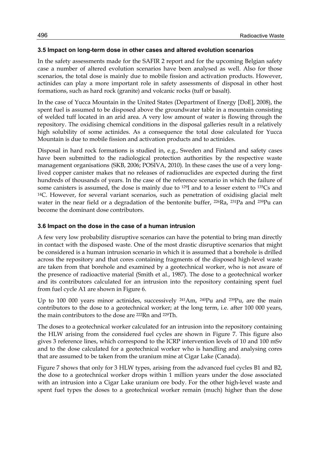#### **3.5 Impact on long-term dose in other cases and altered evolution scenarios**

In the safety assessments made for the SAFIR 2 report and for the upcoming Belgian safety case a number of altered evolution scenarios have been analysed as well. Also for those scenarios, the total dose is mainly due to mobile fission and activation products. However, actinides can play a more important role in safety assessments of disposal in other host formations, such as hard rock (granite) and volcanic rocks (tuff or basalt).

In the case of Yucca Mountain in the United States (Department of Energy [DoE], 2008), the spent fuel is assumed to be disposed above the groundwater table in a mountain consisting of welded tuff located in an arid area. A very low amount of water is flowing through the repository. The oxidising chemical conditions in the disposal galleries result in a relatively high solubility of some actinides. As a consequence the total dose calculated for Yucca Mountain is due to mobile fission and activation products and to actinides.

Disposal in hard rock formations is studied in, e.g., Sweden and Finland and safety cases have been submitted to the radiological protection authorities by the respective waste management organisations (SKB, 2006; POSIVA, 2010). In these cases the use of a very longlived copper canister makes that no releases of radionuclides are expected during the first hundreds of thousands of years. In the case of the reference scenario in which the failure of some canisters is assumed, the dose is mainly due to <sup>129</sup>I and to a lesser extent to <sup>135</sup>Cs and 14C. However, for several variant scenarios, such as penetration of oxidising glacial melt water in the near field or a degradation of the bentonite buffer, <sup>226</sup>Ra, <sup>231</sup>Pa and <sup>239</sup>Pu can become the dominant dose contributors.

#### **3.6 Impact on the dose in the case of a human intrusion**

A few very low probability disruptive scenarios can have the potential to bring man directly in contact with the disposed waste. One of the most drastic disruptive scenarios that might be considered is a human intrusion scenario in which it is assumed that a borehole is drilled across the repository and that cores containing fragments of the disposed high-level waste are taken from that borehole and examined by a geotechnical worker, who is not aware of the presence of radioactive material (Smith et al., 1987). The dose to a geotechnical worker and its contributors calculated for an intrusion into the repository containing spent fuel from fuel cycle A1 are shown in Figure 6.

Up to 100 000 years minor actinides, successively <sup>241</sup>Am, <sup>240</sup>Pu and <sup>239</sup>Pu, are the main contributors to the dose to a geotechnical worker; at the long term, i.e. after 100 000 years, the main contributors to the dose are 222Rn and 229Th.

The doses to a geotechnical worker calculated for an intrusion into the repository containing the HLW arising from the considered fuel cycles are shown in Figure 7. This figure also gives 3 reference lines, which correspond to the ICRP intervention levels of 10 and 100 mSv and to the dose calculated for a geotechnical worker who is handling and analysing cores that are assumed to be taken from the uranium mine at Cigar Lake (Canada).

Figure 7 shows that only for 3 HLW types, arising from the advanced fuel cycles B1 and B2, the dose to a geotechnical worker drops within 1 million years under the dose associated with an intrusion into a Cigar Lake uranium ore body. For the other high-level waste and spent fuel types the doses to a geotechnical worker remain (much) higher than the dose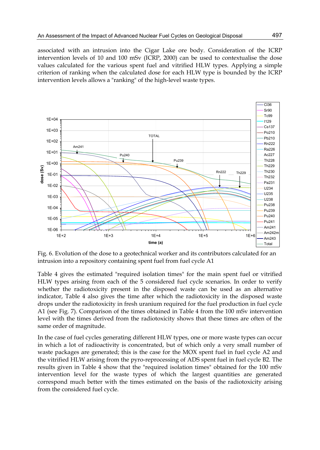associated with an intrusion into the Cigar Lake ore body. Consideration of the ICRP intervention levels of 10 and 100 mSv (ICRP, 2000) can be used to contextualise the dose values calculated for the various spent fuel and vitrified HLW types. Applying a simple criterion of ranking when the calculated dose for each HLW type is bounded by the ICRP intervention levels allows a "ranking" of the high-level waste types.



Fig. 6. Evolution of the dose to a geotechnical worker and its contributors calculated for an intrusion into a repository containing spent fuel from fuel cycle A1

Table 4 gives the estimated "required isolation times" for the main spent fuel or vitrified HLW types arising from each of the 5 considered fuel cycle scenarios. In order to verify whether the radiotoxicity present in the disposed waste can be used as an alternative indicator, Table 4 also gives the time after which the radiotoxicity in the disposed waste drops under the radiotoxicity in fresh uranium required for the fuel production in fuel cycle A1 (see Fig. 7). Comparison of the times obtained in Table 4 from the 100 mSv intervention level with the times derived from the radiotoxicity shows that these times are often of the same order of magnitude.

In the case of fuel cycles generating different HLW types, one or more waste types can occur in which a lot of radioactivity is concentrated, but of which only a very small number of waste packages are generated; this is the case for the MOX spent fuel in fuel cycle A2 and the vitrified HLW arising from the pyro-reprocessing of ADS spent fuel in fuel cycle B2. The results given in Table 4 show that the "required isolation times" obtained for the 100 mSv intervention level for the waste types of which the largest quantities are generated correspond much better with the times estimated on the basis of the radiotoxicity arising from the considered fuel cycle.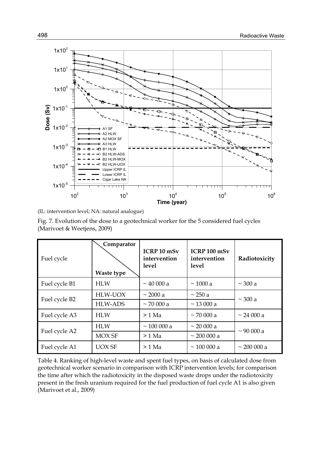

(IL: intervention level; NA: natural analogue)

Fig. 7. Evolution of the dose to a geotechnical worker for the 5 considered fuel cycles (Marivoet & Weetjens, 2009)

| Fuel cycle    | Comparator<br>Waste type | ICRP 10 mSv<br>intervention<br>level | $ICRP$ 100 mSv<br>intervention<br>level | Radiotoxicity    |  |
|---------------|--------------------------|--------------------------------------|-----------------------------------------|------------------|--|
| Fuel cycle B1 | HLW                      | $\sim$ 40 000 a                      | $\sim$ 1000 a                           | $\sim$ 300 a     |  |
| Fuel cycle B2 | <b>HLW-UOX</b>           | $\sim$ 2000 a                        | $\sim$ 250 a                            | $\sim$ 300 a     |  |
|               | HLW-ADS                  | $\sim$ 70 000 a                      | $\sim$ 13 000 a                         |                  |  |
| Fuel cycle A3 | HI.W                     | $>1$ Ma                              | $\sim$ 70 000 a                         | $\sim$ 24 000 a  |  |
| Fuel cycle A2 | HLW                      | $\sim$ 100 000 a                     | $\sim$ 20 000 a                         | $\sim$ 90 000 a  |  |
|               | <b>MOX SF</b>            | $>1$ Ma                              | $\sim$ 200 000 a                        |                  |  |
| Fuel cycle A1 | <b>UOX SF</b>            | $>1$ Ma                              | $\sim$ 100 000 a                        | $\sim$ 200 000 a |  |

Table 4. Ranking of high-level waste and spent fuel types, on basis of calculated dose from geotechnical worker scenario in comparison with ICRP intervention levels; for comparison the time after which the radiotoxicity in the disposed waste drops under the radiotoxicity present in the fresh uranium required for the fuel production of fuel cycle A1 is also given (Marivoet et al., 2009)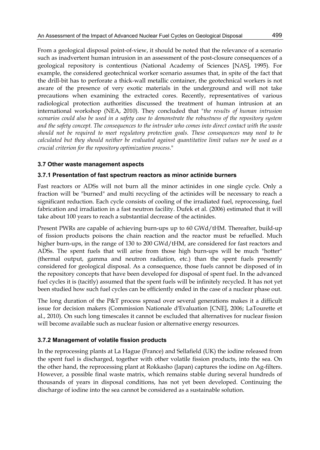From a geological disposal point-of-view, it should be noted that the relevance of a scenario such as inadvertent human intrusion in an assessment of the post-closure consequences of a geological repository is contentious (National Academy of Sciences [NAS], 1995). For example, the considered geotechnical worker scenario assumes that, in spite of the fact that the drill-bit has to perforate a thick-wall metallic container, the geotechnical workers is not aware of the presence of very exotic materials in the underground and will not take precautions when examining the extracted cores. Recently, representatives of various radiological protection authorities discussed the treatment of human intrusion at an international workshop (NEA, 2010). They concluded that "*the results of human intrusion scenarios could also be used in a safety case to demonstrate the robustness of the repository system and the safety concept. The consequences to the intruder who comes into direct contact with the waste should not be required to meet regulatory protection goals. These consequences may need to be calculated but they should neither be evaluated against quantitative limit values nor be used as a crucial criterion for the repository optimization process.*"

#### **3.7 Other waste management aspects**

#### **3.7.1 Presentation of fast spectrum reactors as minor actinide burners**

Fast reactors or ADSs will not burn all the minor actinides in one single cycle. Only a fraction will be "burned" and multi recycling of the actinides will be necessary to reach a significant reduction. Each cycle consists of cooling of the irradiated fuel, reprocessing, fuel fabrication and irradiation in a fast neutron facility. Dufek et al. (2006) estimated that it will take about 100 years to reach a substantial decrease of the actinides.

Present PWRs are capable of achieving burn-ups up to 60 GWd/tHM. Thereafter, build-up of fission products poisons the chain reaction and the reactor must be refuelled. Much higher burn-ups, in the range of 130 to 200 GWd/tHM, are considered for fast reactors and ADSs. The spent fuels that will arise from those high burn-ups will be much "hotter" (thermal output, gamma and neutron radiation, etc.) than the spent fuels presently considered for geological disposal. As a consequence, those fuels cannot be disposed of in the repository concepts that have been developed for disposal of spent fuel. In the advanced fuel cycles it is (tacitly) assumed that the spent fuels will be infinitely recycled. It has not yet been studied how such fuel cycles can be efficiently ended in the case of a nuclear phase out.

The long duration of the P&T process spread over several generations makes it a difficult issue for decision makers (Commission Nationale d'Evaluation [CNE], 2006; LaTourette et al., 2010). On such long timescales it cannot be excluded that alternatives for nuclear fission will become available such as nuclear fusion or alternative energy resources.

#### **3.7.2 Management of volatile fission products**

In the reprocessing plants at La Hague (France) and Sellafield (UK) the iodine released from the spent fuel is discharged, together with other volatile fission products, into the sea. On the other hand, the reprocessing plant at Rokkasho (Japan) captures the iodine on Ag-filters. However, a possible final waste matrix, which remains stable during several hundreds of thousands of years in disposal conditions, has not yet been developed. Continuing the discharge of iodine into the sea cannot be considered as a sustainable solution.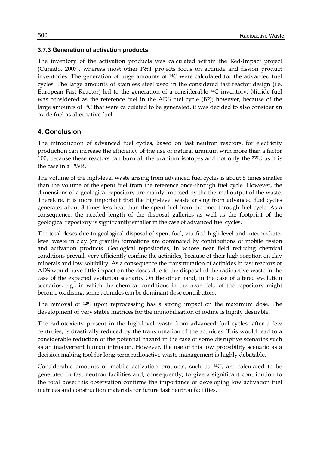#### **3.7.3 Generation of activation products**

The inventory of the activation products was calculated within the Red-Impact project (Cunado, 2007), whereas most other P&T projects focus on actinide and fission product inventories. The generation of huge amounts of 14C were calculated for the advanced fuel cycles. The large amounts of stainless steel used in the considered fast reactor design (i.e. European Fast Reactor) led to the generation of a considerable 14C inventory. Nitride fuel was considered as the reference fuel in the ADS fuel cycle (B2); however, because of the large amounts of <sup>14</sup>C that were calculated to be generated, it was decided to also consider an oxide fuel as alternative fuel.

# **4. Conclusion**

The introduction of advanced fuel cycles, based on fast neutron reactors, for electricity production can increase the efficiency of the use of natural uranium with more than a factor 100, because these reactors can burn all the uranium isotopes and not only the  $235U$  as it is the case in a PWR.

The volume of the high-level waste arising from advanced fuel cycles is about 5 times smaller than the volume of the spent fuel from the reference once-through fuel cycle. However, the dimensions of a geological repository are mainly imposed by the thermal output of the waste. Therefore, it is more important that the high-level waste arising from advanced fuel cycles generates about 3 times less heat than the spent fuel from the once-through fuel cycle. As a consequence, the needed length of the disposal galleries as well as the footprint of the geological repository is significantly smaller in the case of advanced fuel cycles.

The total doses due to geological disposal of spent fuel, vitrified high-level and intermediatelevel waste in clay (or granite) formations are dominated by contributions of mobile fission and activation products. Geological repositories, in whose near field reducing chemical conditions prevail, very efficiently confine the actinides, because of their high sorption on clay minerals and low solubility. As a consequence the transmutation of actinides in fast reactors or ADS would have little impact on the doses due to the disposal of the radioactive waste in the case of the expected evolution scenario. On the other hand, in the case of altered evolution scenarios, e.g., in which the chemical conditions in the near field of the repository might become oxidising, some actinides can be dominant dose contributors.

The removal of 129I upon reprocessing has a strong impact on the maximum dose. The development of very stable matrices for the immobilisation of iodine is highly desirable.

The radiotoxicity present in the high-level waste from advanced fuel cycles, after a few centuries, is drastically reduced by the transmutation of the actinides. This would lead to a considerable reduction of the potential hazard in the case of some disruptive scenarios such as an inadvertent human intrusion. However, the use of this low probability scenario as a decision making tool for long-term radioactive waste management is highly debatable.

Considerable amounts of mobile activation products, such as 14C, are calculated to be generated in fast neutron facilities and, consequently, to give a significant contribution to the total dose; this observation confirms the importance of developing low activation fuel matrices and construction materials for future fast neutron facilities.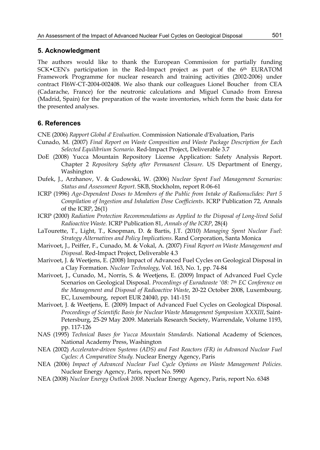## **5. Acknowledgment**

The authors would like to thank the European Commission for partially funding SCK•CEN's participation in the Red-Impact project as part of the 6<sup>th</sup> EURATOM Framework Programme for nuclear research and training activities (2002-2006) under contract FI6W-CT-2004-002408. We also thank our colleagues Lionel Boucher from CEA (Cadarache, France) for the neutronic calculations and Miguel Cunado from Enresa (Madrid, Spain) for the preparation of the waste inventories, which form the basic data for the presented analyses.

## **6. References**

CNE (2006) *Rapport Global d'Evaluation*. Commission Nationale d'Evaluation, Paris

- Cunado, M. (2007) *Final Report on Waste Composition and Waste Package Description for Each Selected Equilibrium Scenario*. Red-Impact Project, Deliverable 3.7
- DoE (2008) Yucca Mountain Repository License Application: Safety Analysis Report. Chapter 2 *Repository Safety after Permanent Closure*. US Department of Energy, Washington
- Dufek, J., Arzhanov, V. & Gudowski, W. (2006) *Nuclear Spent Fuel Management Scenarios: Status and Assessment Report*. SKB, Stockholm, report R-06-61
- ICRP (1996) *Age-Dependent Doses to Members of the Public from Intake of Radionuclides: Part 5 Compilation of Ingestion and Inhalation Dose Coefficients*. ICRP Publication 72, Annals of the ICRP, 26(1)
- ICRP (2000) *Radiation Protection Recommendations as Applied to the Disposal of Long-lived Solid Radioactive Waste.* ICRP Publication 81, *Annals of the ICRP*, 28(4)
- LaTourette, T., Light, T., Knopman, D. & Bartis, J.T. (2010) *Managing Spent Nuclear Fuel*: *Strategy Alternatives and Policy Implications*. Rand Corporation, Santa Monica
- Marivoet, J., Peiffer, F., Cunado, M. & Vokal, A. (2007) *Final Report on Waste Management and Disposal*. Red-Impact Project, Deliverable 4.3
- Marivoet, J. & Weetjens, E. (2008) Impact of Advanced Fuel Cycles on Geological Disposal in a Clay Formation. *Nuclear Technology*, Vol. 163, No. 1, pp. 74-84
- Marivoet, J., Cunado, M., Norris, S. & Weetjens, E. (2009) Impact of Advanced Fuel Cycle Scenarios on Geological Disposal. *Proceedings of Euradwaste '08: 7th EC Conference on the Management and Disposal of Radioactive Waste*, 20-22 October 2008, Luxembourg. EC, Luxembourg, report EUR 24040, pp. 141-151
- Marivoet, J. & Weetjens, E. (2009) Impact of Advanced Fuel Cycles on Geological Disposal. *Proceedings of Scientific Basis for Nuclear Waste Management Symposium XXXIII*, Saint-Petersburg, 25-29 May 2009. Materials Research Society, Warrendale, Volume 1193, pp. 117-126
- NAS (1995) *Technical Bases for Yucca Mountain Standards.* National Academy of Sciences, National Academy Press, Washington
- NEA (2002) *Accelerator-driven Systems (ADS) and Fast Reactors (FR) in Advanced Nuclear Fuel Cycles: A Comparative Study.* Nuclear Energy Agency, Paris
- NEA (2006) *Impact of Advanced Nuclear Fuel Cycle Options on Waste Management Policies.*  Nuclear Energy Agency, Paris, report No. 5990
- NEA (2008) *Nuclear Energy Outlook 2008.* Nuclear Energy Agency, Paris, report No. 6348